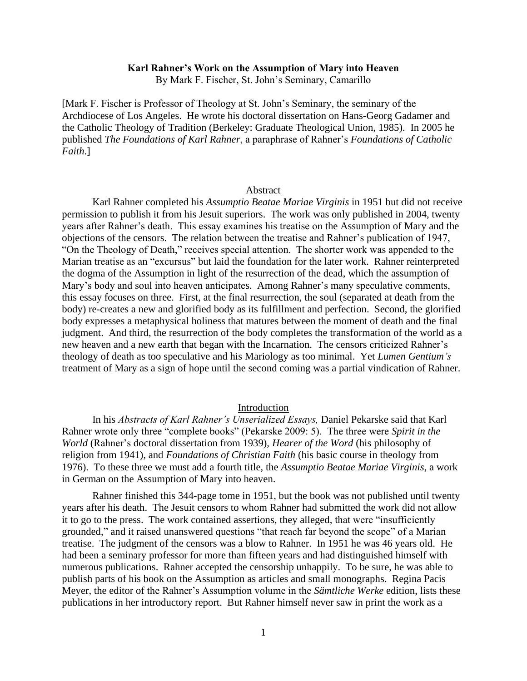### **Karl Rahner's Work on the Assumption of Mary into Heaven**

By Mark F. Fischer, St. John's Seminary, Camarillo

[Mark F. Fischer is Professor of Theology at St. John's Seminary, the seminary of the Archdiocese of Los Angeles. He wrote his doctoral dissertation on Hans-Georg Gadamer and the Catholic Theology of Tradition (Berkeley: Graduate Theological Union, 1985). In 2005 he published *The Foundations of Karl Rahner*, a paraphrase of Rahner's *Foundations of Catholic Faith*.]

#### Abstract

Karl Rahner completed his *Assumptio Beatae Mariae Virginis* in 1951 but did not receive permission to publish it from his Jesuit superiors. The work was only published in 2004, twenty years after Rahner's death. This essay examines his treatise on the Assumption of Mary and the objections of the censors. The relation between the treatise and Rahner's publication of 1947, "On the Theology of Death," receives special attention. The shorter work was appended to the Marian treatise as an "excursus" but laid the foundation for the later work. Rahner reinterpreted the dogma of the Assumption in light of the resurrection of the dead, which the assumption of Mary's body and soul into heaven anticipates. Among Rahner's many speculative comments, this essay focuses on three. First, at the final resurrection, the soul (separated at death from the body) re-creates a new and glorified body as its fulfillment and perfection. Second, the glorified body expresses a metaphysical holiness that matures between the moment of death and the final judgment. And third, the resurrection of the body completes the transformation of the world as a new heaven and a new earth that began with the Incarnation. The censors criticized Rahner's theology of death as too speculative and his Mariology as too minimal. Yet *Lumen Gentium's*  treatment of Mary as a sign of hope until the second coming was a partial vindication of Rahner.

### Introduction

In his *Abstracts of Karl Rahner's Unserialized Essays,* Daniel Pekarske said that Karl Rahner wrote only three "complete books" (Pekarske 2009: 5). The three were *Spirit in the World* (Rahner's doctoral dissertation from 1939), *Hearer of the Word* (his philosophy of religion from 1941), and *Foundations of Christian Faith* (his basic course in theology from 1976). To these three we must add a fourth title, the *Assumptio Beatae Mariae Virginis*, a work in German on the Assumption of Mary into heaven.

Rahner finished this 344-page tome in 1951, but the book was not published until twenty years after his death. The Jesuit censors to whom Rahner had submitted the work did not allow it to go to the press. The work contained assertions, they alleged, that were "insufficiently grounded," and it raised unanswered questions "that reach far beyond the scope" of a Marian treatise. The judgment of the censors was a blow to Rahner. In 1951 he was 46 years old. He had been a seminary professor for more than fifteen years and had distinguished himself with numerous publications. Rahner accepted the censorship unhappily. To be sure, he was able to publish parts of his book on the Assumption as articles and small monographs. Regina Pacis Meyer, the editor of the Rahner's Assumption volume in the *Sämtliche Werke* edition, lists these publications in her introductory report. But Rahner himself never saw in print the work as a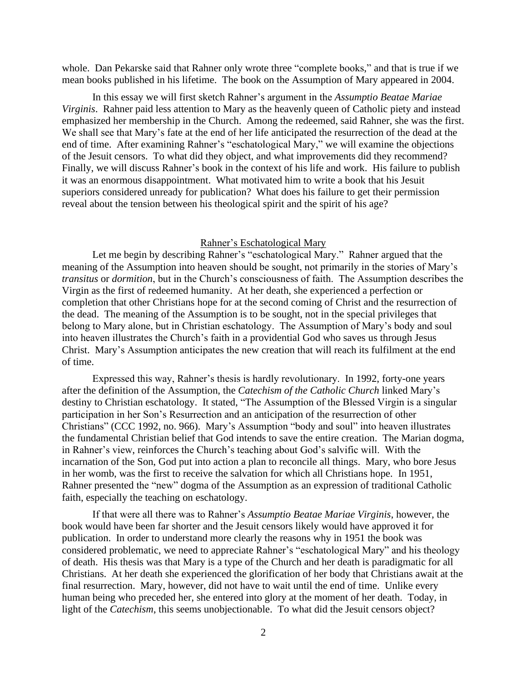whole. Dan Pekarske said that Rahner only wrote three "complete books," and that is true if we mean books published in his lifetime. The book on the Assumption of Mary appeared in 2004.

In this essay we will first sketch Rahner's argument in the *Assumptio Beatae Mariae Virginis*. Rahner paid less attention to Mary as the heavenly queen of Catholic piety and instead emphasized her membership in the Church. Among the redeemed, said Rahner, she was the first. We shall see that Mary's fate at the end of her life anticipated the resurrection of the dead at the end of time. After examining Rahner's "eschatological Mary," we will examine the objections of the Jesuit censors. To what did they object, and what improvements did they recommend? Finally, we will discuss Rahner's book in the context of his life and work. His failure to publish it was an enormous disappointment. What motivated him to write a book that his Jesuit superiors considered unready for publication? What does his failure to get their permission reveal about the tension between his theological spirit and the spirit of his age?

#### Rahner's Eschatological Mary

Let me begin by describing Rahner's "eschatological Mary." Rahner argued that the meaning of the Assumption into heaven should be sought, not primarily in the stories of Mary's *transitus* or *dormition*, but in the Church's consciousness of faith. The Assumption describes the Virgin as the first of redeemed humanity. At her death, she experienced a perfection or completion that other Christians hope for at the second coming of Christ and the resurrection of the dead. The meaning of the Assumption is to be sought, not in the special privileges that belong to Mary alone, but in Christian eschatology. The Assumption of Mary's body and soul into heaven illustrates the Church's faith in a providential God who saves us through Jesus Christ. Mary's Assumption anticipates the new creation that will reach its fulfilment at the end of time.

Expressed this way, Rahner's thesis is hardly revolutionary. In 1992, forty-one years after the definition of the Assumption, the *Catechism of the Catholic Church* linked Mary's destiny to Christian eschatology. It stated, "The Assumption of the Blessed Virgin is a singular participation in her Son's Resurrection and an anticipation of the resurrection of other Christians" (CCC 1992, no. 966). Mary's Assumption "body and soul" into heaven illustrates the fundamental Christian belief that God intends to save the entire creation. The Marian dogma, in Rahner's view, reinforces the Church's teaching about God's salvific will. With the incarnation of the Son, God put into action a plan to reconcile all things. Mary, who bore Jesus in her womb, was the first to receive the salvation for which all Christians hope. In 1951, Rahner presented the "new" dogma of the Assumption as an expression of traditional Catholic faith, especially the teaching on eschatology.

If that were all there was to Rahner's *Assumptio Beatae Mariae Virginis*, however, the book would have been far shorter and the Jesuit censors likely would have approved it for publication. In order to understand more clearly the reasons why in 1951 the book was considered problematic, we need to appreciate Rahner's "eschatological Mary" and his theology of death. His thesis was that Mary is a type of the Church and her death is paradigmatic for all Christians. At her death she experienced the glorification of her body that Christians await at the final resurrection. Mary, however, did not have to wait until the end of time. Unlike every human being who preceded her, she entered into glory at the moment of her death. Today, in light of the *Catechism*, this seems unobjectionable. To what did the Jesuit censors object?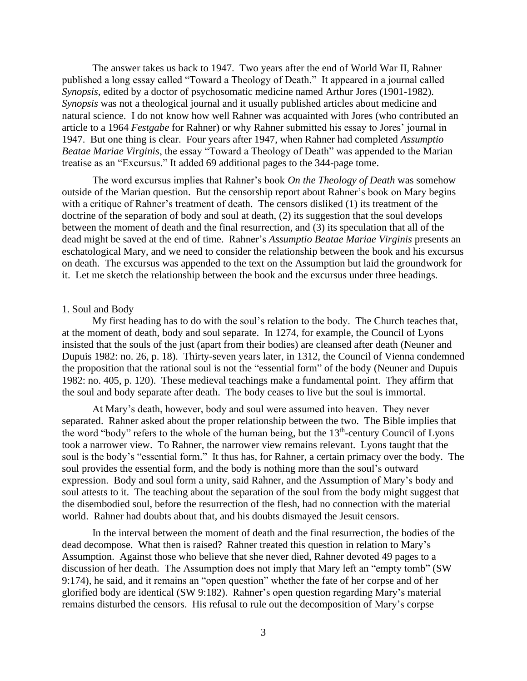The answer takes us back to 1947. Two years after the end of World War II, Rahner published a long essay called "Toward a Theology of Death." It appeared in a journal called *Synopsis*, edited by a doctor of psychosomatic medicine named Arthur Jores (1901-1982). *Synopsis* was not a theological journal and it usually published articles about medicine and natural science. I do not know how well Rahner was acquainted with Jores (who contributed an article to a 1964 *Festgabe* for Rahner) or why Rahner submitted his essay to Jores' journal in 1947. But one thing is clear. Four years after 1947, when Rahner had completed *Assumptio Beatae Mariae Virginis*, the essay "Toward a Theology of Death" was appended to the Marian treatise as an "Excursus." It added 69 additional pages to the 344-page tome.

The word excursus implies that Rahner's book *On the Theology of Death* was somehow outside of the Marian question. But the censorship report about Rahner's book on Mary begins with a critique of Rahner's treatment of death. The censors disliked (1) its treatment of the doctrine of the separation of body and soul at death, (2) its suggestion that the soul develops between the moment of death and the final resurrection, and (3) its speculation that all of the dead might be saved at the end of time. Rahner's *Assumptio Beatae Mariae Virginis* presents an eschatological Mary, and we need to consider the relationship between the book and his excursus on death. The excursus was appended to the text on the Assumption but laid the groundwork for it. Let me sketch the relationship between the book and the excursus under three headings.

# 1. Soul and Body

My first heading has to do with the soul's relation to the body. The Church teaches that, at the moment of death, body and soul separate. In 1274, for example, the Council of Lyons insisted that the souls of the just (apart from their bodies) are cleansed after death (Neuner and Dupuis 1982: no. 26, p. 18). Thirty-seven years later, in 1312, the Council of Vienna condemned the proposition that the rational soul is not the "essential form" of the body (Neuner and Dupuis 1982: no. 405, p. 120). These medieval teachings make a fundamental point. They affirm that the soul and body separate after death. The body ceases to live but the soul is immortal.

At Mary's death, however, body and soul were assumed into heaven. They never separated. Rahner asked about the proper relationship between the two. The Bible implies that the word "body" refers to the whole of the human being, but the 13<sup>th</sup>-century Council of Lyons took a narrower view. To Rahner, the narrower view remains relevant. Lyons taught that the soul is the body's "essential form." It thus has, for Rahner, a certain primacy over the body. The soul provides the essential form, and the body is nothing more than the soul's outward expression. Body and soul form a unity, said Rahner, and the Assumption of Mary's body and soul attests to it. The teaching about the separation of the soul from the body might suggest that the disembodied soul, before the resurrection of the flesh, had no connection with the material world. Rahner had doubts about that, and his doubts dismayed the Jesuit censors.

In the interval between the moment of death and the final resurrection, the bodies of the dead decompose. What then is raised? Rahner treated this question in relation to Mary's Assumption. Against those who believe that she never died, Rahner devoted 49 pages to a discussion of her death. The Assumption does not imply that Mary left an "empty tomb" (SW 9:174), he said, and it remains an "open question" whether the fate of her corpse and of her glorified body are identical (SW 9:182). Rahner's open question regarding Mary's material remains disturbed the censors. His refusal to rule out the decomposition of Mary's corpse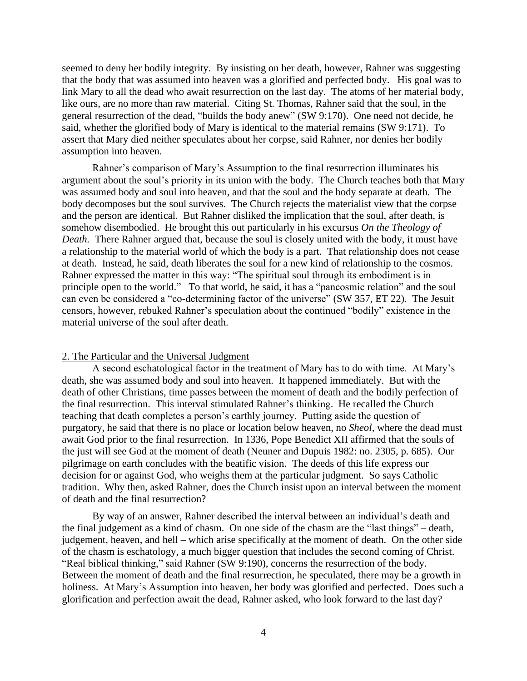seemed to deny her bodily integrity. By insisting on her death, however, Rahner was suggesting that the body that was assumed into heaven was a glorified and perfected body. His goal was to link Mary to all the dead who await resurrection on the last day. The atoms of her material body, like ours, are no more than raw material. Citing St. Thomas, Rahner said that the soul, in the general resurrection of the dead, "builds the body anew" (SW 9:170). One need not decide, he said, whether the glorified body of Mary is identical to the material remains (SW 9:171). To assert that Mary died neither speculates about her corpse, said Rahner, nor denies her bodily assumption into heaven.

Rahner's comparison of Mary's Assumption to the final resurrection illuminates his argument about the soul's priority in its union with the body. The Church teaches both that Mary was assumed body and soul into heaven, and that the soul and the body separate at death. The body decomposes but the soul survives. The Church rejects the materialist view that the corpse and the person are identical. But Rahner disliked the implication that the soul, after death, is somehow disembodied. He brought this out particularly in his excursus *On the Theology of Death.* There Rahner argued that, because the soul is closely united with the body, it must have a relationship to the material world of which the body is a part. That relationship does not cease at death. Instead, he said, death liberates the soul for a new kind of relationship to the cosmos. Rahner expressed the matter in this way: "The spiritual soul through its embodiment is in principle open to the world." To that world, he said, it has a "pancosmic relation" and the soul can even be considered a "co-determining factor of the universe" (SW 357, ET 22). The Jesuit censors, however, rebuked Rahner's speculation about the continued "bodily" existence in the material universe of the soul after death.

### 2. The Particular and the Universal Judgment

A second eschatological factor in the treatment of Mary has to do with time. At Mary's death, she was assumed body and soul into heaven. It happened immediately. But with the death of other Christians, time passes between the moment of death and the bodily perfection of the final resurrection. This interval stimulated Rahner's thinking. He recalled the Church teaching that death completes a person's earthly journey. Putting aside the question of purgatory, he said that there is no place or location below heaven, no *Sheol*, where the dead must await God prior to the final resurrection. In 1336, Pope Benedict XII affirmed that the souls of the just will see God at the moment of death (Neuner and Dupuis 1982: no. 2305, p. 685). Our pilgrimage on earth concludes with the beatific vision. The deeds of this life express our decision for or against God, who weighs them at the particular judgment. So says Catholic tradition. Why then, asked Rahner, does the Church insist upon an interval between the moment of death and the final resurrection?

By way of an answer, Rahner described the interval between an individual's death and the final judgement as a kind of chasm. On one side of the chasm are the "last things" – death, judgement, heaven, and hell – which arise specifically at the moment of death. On the other side of the chasm is eschatology, a much bigger question that includes the second coming of Christ. "Real biblical thinking," said Rahner (SW 9:190), concerns the resurrection of the body. Between the moment of death and the final resurrection, he speculated, there may be a growth in holiness. At Mary's Assumption into heaven, her body was glorified and perfected. Does such a glorification and perfection await the dead, Rahner asked, who look forward to the last day?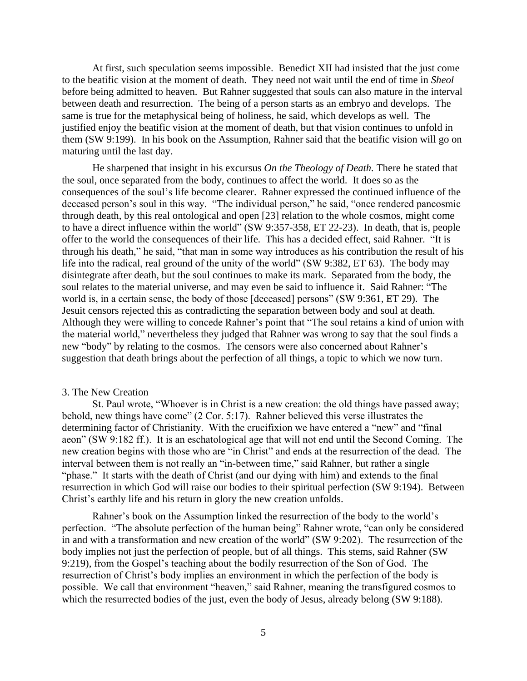At first, such speculation seems impossible. Benedict XII had insisted that the just come to the beatific vision at the moment of death. They need not wait until the end of time in *Sheol* before being admitted to heaven. But Rahner suggested that souls can also mature in the interval between death and resurrection. The being of a person starts as an embryo and develops. The same is true for the metaphysical being of holiness, he said, which develops as well. The justified enjoy the beatific vision at the moment of death, but that vision continues to unfold in them (SW 9:199). In his book on the Assumption, Rahner said that the beatific vision will go on maturing until the last day.

He sharpened that insight in his excursus *On the Theology of Death.* There he stated that the soul, once separated from the body, continues to affect the world. It does so as the consequences of the soul's life become clearer. Rahner expressed the continued influence of the deceased person's soul in this way. "The individual person," he said, "once rendered pancosmic through death, by this real ontological and open [23] relation to the whole cosmos, might come to have a direct influence within the world" (SW 9:357-358, ET 22-23). In death, that is, people offer to the world the consequences of their life. This has a decided effect, said Rahner. "It is through his death," he said, "that man in some way introduces as his contribution the result of his life into the radical, real ground of the unity of the world" (SW 9:382, ET 63). The body may disintegrate after death, but the soul continues to make its mark. Separated from the body, the soul relates to the material universe, and may even be said to influence it. Said Rahner: "The world is, in a certain sense, the body of those [deceased] persons" (SW 9:361, ET 29). The Jesuit censors rejected this as contradicting the separation between body and soul at death. Although they were willing to concede Rahner's point that "The soul retains a kind of union with the material world," nevertheless they judged that Rahner was wrong to say that the soul finds a new "body" by relating to the cosmos. The censors were also concerned about Rahner's suggestion that death brings about the perfection of all things, a topic to which we now turn.

### 3. The New Creation

St. Paul wrote, "Whoever is in Christ is a new creation: the old things have passed away; behold, new things have come" (2 Cor. 5:17). Rahner believed this verse illustrates the determining factor of Christianity. With the crucifixion we have entered a "new" and "final aeon" (SW 9:182 ff.). It is an eschatological age that will not end until the Second Coming. The new creation begins with those who are "in Christ" and ends at the resurrection of the dead. The interval between them is not really an "in-between time," said Rahner, but rather a single "phase." It starts with the death of Christ (and our dying with him) and extends to the final resurrection in which God will raise our bodies to their spiritual perfection (SW 9:194). Between Christ's earthly life and his return in glory the new creation unfolds.

Rahner's book on the Assumption linked the resurrection of the body to the world's perfection. "The absolute perfection of the human being" Rahner wrote, "can only be considered in and with a transformation and new creation of the world" (SW 9:202). The resurrection of the body implies not just the perfection of people, but of all things. This stems, said Rahner (SW 9:219), from the Gospel's teaching about the bodily resurrection of the Son of God. The resurrection of Christ's body implies an environment in which the perfection of the body is possible. We call that environment "heaven," said Rahner, meaning the transfigured cosmos to which the resurrected bodies of the just, even the body of Jesus, already belong (SW 9:188).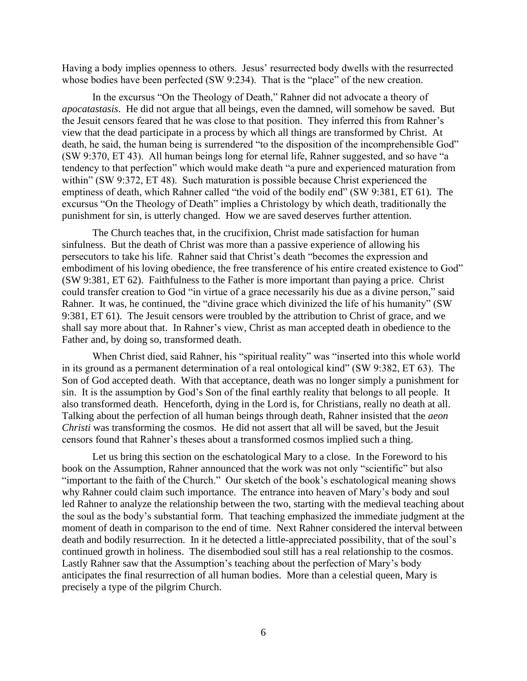Having a body implies openness to others. Jesus' resurrected body dwells with the resurrected whose bodies have been perfected (SW 9:234). That is the "place" of the new creation.

In the excursus "On the Theology of Death," Rahner did not advocate a theory of *apocatastasis*. He did not argue that all beings, even the damned, will somehow be saved. But the Jesuit censors feared that he was close to that position. They inferred this from Rahner's view that the dead participate in a process by which all things are transformed by Christ. At death, he said, the human being is surrendered "to the disposition of the incomprehensible God" (SW 9:370, ET 43). All human beings long for eternal life, Rahner suggested, and so have "a tendency to that perfection" which would make death "a pure and experienced maturation from within" (SW 9:372, ET 48). Such maturation is possible because Christ experienced the emptiness of death, which Rahner called "the void of the bodily end" (SW 9:381, ET 61). The excursus "On the Theology of Death" implies a Christology by which death, traditionally the punishment for sin, is utterly changed. How we are saved deserves further attention.

The Church teaches that, in the crucifixion, Christ made satisfaction for human sinfulness. But the death of Christ was more than a passive experience of allowing his persecutors to take his life. Rahner said that Christ's death "becomes the expression and embodiment of his loving obedience, the free transference of his entire created existence to God" (SW 9:381, ET 62). Faithfulness to the Father is more important than paying a price. Christ could transfer creation to God "in virtue of a grace necessarily his due as a divine person," said Rahner. It was, he continued, the "divine grace which divinized the life of his humanity" (SW 9:381, ET 61). The Jesuit censors were troubled by the attribution to Christ of grace, and we shall say more about that. In Rahner's view, Christ as man accepted death in obedience to the Father and, by doing so, transformed death.

When Christ died, said Rahner, his "spiritual reality" was "inserted into this whole world in its ground as a permanent determination of a real ontological kind" (SW 9:382, ET 63). The Son of God accepted death. With that acceptance, death was no longer simply a punishment for sin. It is the assumption by God's Son of the final earthly reality that belongs to all people. It also transformed death. Henceforth, dying in the Lord is, for Christians, really no death at all. Talking about the perfection of all human beings through death, Rahner insisted that the *aeon Christi* was transforming the cosmos. He did not assert that all will be saved, but the Jesuit censors found that Rahner's theses about a transformed cosmos implied such a thing.

Let us bring this section on the eschatological Mary to a close. In the Foreword to his book on the Assumption, Rahner announced that the work was not only "scientific" but also "important to the faith of the Church." Our sketch of the book's eschatological meaning shows why Rahner could claim such importance. The entrance into heaven of Mary's body and soul led Rahner to analyze the relationship between the two, starting with the medieval teaching about the soul as the body's substantial form. That teaching emphasized the immediate judgment at the moment of death in comparison to the end of time. Next Rahner considered the interval between death and bodily resurrection. In it he detected a little-appreciated possibility, that of the soul's continued growth in holiness. The disembodied soul still has a real relationship to the cosmos. Lastly Rahner saw that the Assumption's teaching about the perfection of Mary's body anticipates the final resurrection of all human bodies. More than a celestial queen, Mary is precisely a type of the pilgrim Church.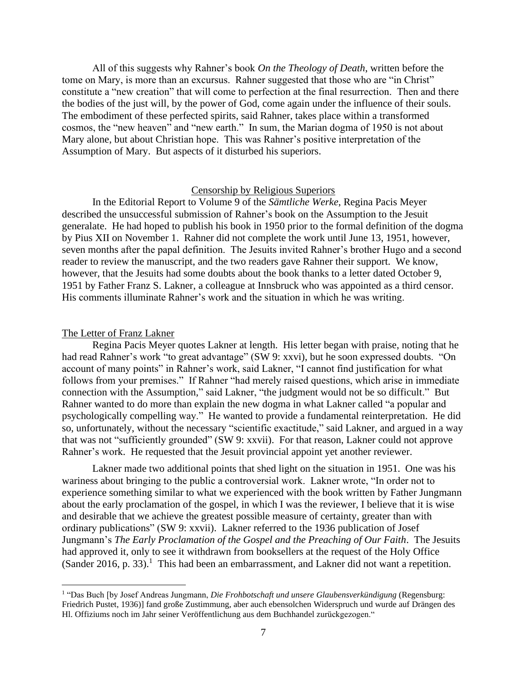All of this suggests why Rahner's book *On the Theology of Death*, written before the tome on Mary, is more than an excursus. Rahner suggested that those who are "in Christ" constitute a "new creation" that will come to perfection at the final resurrection. Then and there the bodies of the just will, by the power of God, come again under the influence of their souls. The embodiment of these perfected spirits, said Rahner, takes place within a transformed cosmos, the "new heaven" and "new earth." In sum, the Marian dogma of 1950 is not about Mary alone, but about Christian hope. This was Rahner's positive interpretation of the Assumption of Mary. But aspects of it disturbed his superiors.

# Censorship by Religious Superiors

In the Editorial Report to Volume 9 of the *Sämtliche Werke*, Regina Pacis Meyer described the unsuccessful submission of Rahner's book on the Assumption to the Jesuit generalate. He had hoped to publish his book in 1950 prior to the formal definition of the dogma by Pius XII on November 1. Rahner did not complete the work until June 13, 1951, however, seven months after the papal definition. The Jesuits invited Rahner's brother Hugo and a second reader to review the manuscript, and the two readers gave Rahner their support. We know, however, that the Jesuits had some doubts about the book thanks to a letter dated October 9, 1951 by Father Franz S. Lakner, a colleague at Innsbruck who was appointed as a third censor. His comments illuminate Rahner's work and the situation in which he was writing.

#### The Letter of Franz Lakner

Regina Pacis Meyer quotes Lakner at length. His letter began with praise, noting that he had read Rahner's work "to great advantage" (SW 9: xxvi), but he soon expressed doubts. "On account of many points" in Rahner's work, said Lakner, "I cannot find justification for what follows from your premises." If Rahner "had merely raised questions, which arise in immediate connection with the Assumption," said Lakner, "the judgment would not be so difficult." But Rahner wanted to do more than explain the new dogma in what Lakner called "a popular and psychologically compelling way." He wanted to provide a fundamental reinterpretation. He did so, unfortunately, without the necessary "scientific exactitude," said Lakner, and argued in a way that was not "sufficiently grounded" (SW 9: xxvii). For that reason, Lakner could not approve Rahner's work. He requested that the Jesuit provincial appoint yet another reviewer.

Lakner made two additional points that shed light on the situation in 1951. One was his wariness about bringing to the public a controversial work. Lakner wrote, "In order not to experience something similar to what we experienced with the book written by Father Jungmann about the early proclamation of the gospel, in which I was the reviewer, I believe that it is wise and desirable that we achieve the greatest possible measure of certainty, greater than with ordinary publications" (SW 9: xxvii). Lakner referred to the 1936 publication of Josef Jungmann's *The Early Proclamation of the Gospel and the Preaching of Our Faith*. The Jesuits had approved it, only to see it withdrawn from booksellers at the request of the Holy Office (Sander 2016, p. 33).<sup>1</sup> This had been an embarrassment, and Lakner did not want a repetition.

<sup>1</sup> "Das Buch [by Josef Andreas Jungmann, *Die Frohbotschaft und unsere Glaubensverkündigung* (Regensburg: Friedrich Pustet, 1936)] fand große Zustimmung, aber auch ebensolchen Widerspruch und wurde auf Drängen des Hl. Offiziums noch im Jahr seiner Veröffentlichung aus dem Buchhandel zurückgezogen."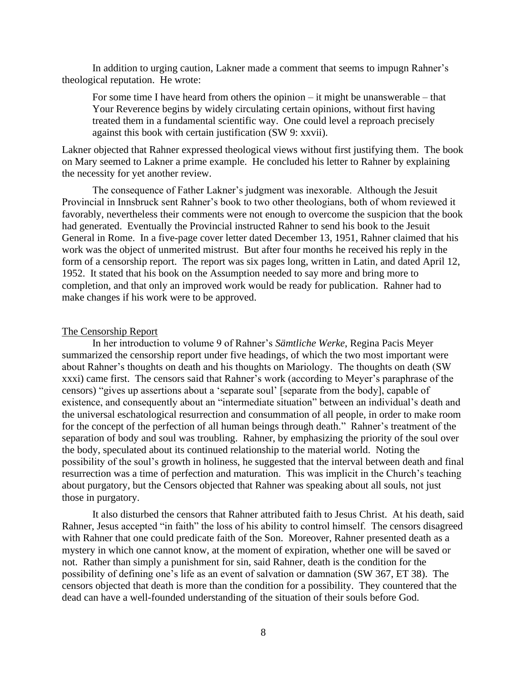In addition to urging caution, Lakner made a comment that seems to impugn Rahner's theological reputation. He wrote:

For some time I have heard from others the opinion – it might be unanswerable – that Your Reverence begins by widely circulating certain opinions, without first having treated them in a fundamental scientific way. One could level a reproach precisely against this book with certain justification (SW 9: xxvii).

Lakner objected that Rahner expressed theological views without first justifying them. The book on Mary seemed to Lakner a prime example. He concluded his letter to Rahner by explaining the necessity for yet another review.

The consequence of Father Lakner's judgment was inexorable. Although the Jesuit Provincial in Innsbruck sent Rahner's book to two other theologians, both of whom reviewed it favorably, nevertheless their comments were not enough to overcome the suspicion that the book had generated. Eventually the Provincial instructed Rahner to send his book to the Jesuit General in Rome. In a five-page cover letter dated December 13, 1951, Rahner claimed that his work was the object of unmerited mistrust. But after four months he received his reply in the form of a censorship report. The report was six pages long, written in Latin, and dated April 12, 1952. It stated that his book on the Assumption needed to say more and bring more to completion, and that only an improved work would be ready for publication. Rahner had to make changes if his work were to be approved.

### The Censorship Report

In her introduction to volume 9 of Rahner's *Sämtliche Werke*, Regina Pacis Meyer summarized the censorship report under five headings, of which the two most important were about Rahner's thoughts on death and his thoughts on Mariology. The thoughts on death (SW xxxi) came first. The censors said that Rahner's work (according to Meyer's paraphrase of the censors) "gives up assertions about a 'separate soul' [separate from the body], capable of existence, and consequently about an "intermediate situation" between an individual's death and the universal eschatological resurrection and consummation of all people, in order to make room for the concept of the perfection of all human beings through death." Rahner's treatment of the separation of body and soul was troubling. Rahner, by emphasizing the priority of the soul over the body, speculated about its continued relationship to the material world. Noting the possibility of the soul's growth in holiness, he suggested that the interval between death and final resurrection was a time of perfection and maturation. This was implicit in the Church's teaching about purgatory, but the Censors objected that Rahner was speaking about all souls, not just those in purgatory.

It also disturbed the censors that Rahner attributed faith to Jesus Christ. At his death, said Rahner, Jesus accepted "in faith" the loss of his ability to control himself. The censors disagreed with Rahner that one could predicate faith of the Son. Moreover, Rahner presented death as a mystery in which one cannot know, at the moment of expiration, whether one will be saved or not. Rather than simply a punishment for sin, said Rahner, death is the condition for the possibility of defining one's life as an event of salvation or damnation (SW 367, ET 38). The censors objected that death is more than the condition for a possibility. They countered that the dead can have a well-founded understanding of the situation of their souls before God.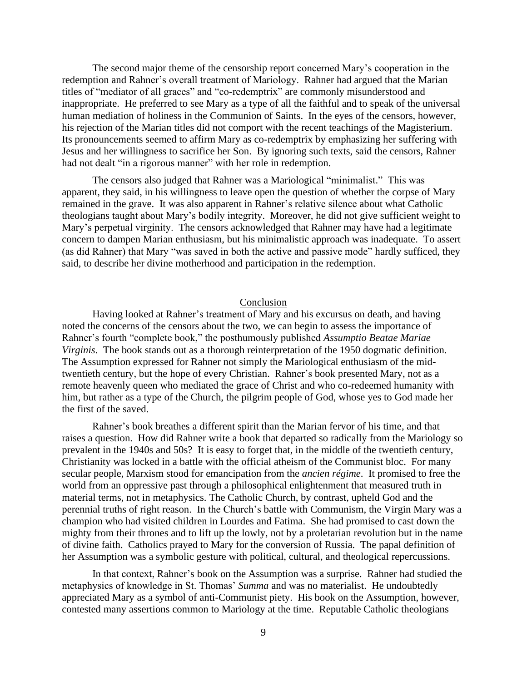The second major theme of the censorship report concerned Mary's cooperation in the redemption and Rahner's overall treatment of Mariology. Rahner had argued that the Marian titles of "mediator of all graces" and "co-redemptrix" are commonly misunderstood and inappropriate. He preferred to see Mary as a type of all the faithful and to speak of the universal human mediation of holiness in the Communion of Saints. In the eyes of the censors, however, his rejection of the Marian titles did not comport with the recent teachings of the Magisterium. Its pronouncements seemed to affirm Mary as co-redemptrix by emphasizing her suffering with Jesus and her willingness to sacrifice her Son. By ignoring such texts, said the censors, Rahner had not dealt "in a rigorous manner" with her role in redemption.

The censors also judged that Rahner was a Mariological "minimalist." This was apparent, they said, in his willingness to leave open the question of whether the corpse of Mary remained in the grave. It was also apparent in Rahner's relative silence about what Catholic theologians taught about Mary's bodily integrity. Moreover, he did not give sufficient weight to Mary's perpetual virginity. The censors acknowledged that Rahner may have had a legitimate concern to dampen Marian enthusiasm, but his minimalistic approach was inadequate. To assert (as did Rahner) that Mary "was saved in both the active and passive mode" hardly sufficed, they said, to describe her divine motherhood and participation in the redemption.

# Conclusion

Having looked at Rahner's treatment of Mary and his excursus on death, and having noted the concerns of the censors about the two, we can begin to assess the importance of Rahner's fourth "complete book," the posthumously published *Assumptio Beatae Mariae Virginis*. The book stands out as a thorough reinterpretation of the 1950 dogmatic definition. The Assumption expressed for Rahner not simply the Mariological enthusiasm of the midtwentieth century, but the hope of every Christian. Rahner's book presented Mary, not as a remote heavenly queen who mediated the grace of Christ and who co-redeemed humanity with him, but rather as a type of the Church, the pilgrim people of God, whose yes to God made her the first of the saved.

Rahner's book breathes a different spirit than the Marian fervor of his time, and that raises a question. How did Rahner write a book that departed so radically from the Mariology so prevalent in the 1940s and 50s? It is easy to forget that, in the middle of the twentieth century, Christianity was locked in a battle with the official atheism of the Communist bloc. For many secular people, Marxism stood for emancipation from the *ancien régime*. It promised to free the world from an oppressive past through a philosophical enlightenment that measured truth in material terms, not in metaphysics. The Catholic Church, by contrast, upheld God and the perennial truths of right reason. In the Church's battle with Communism, the Virgin Mary was a champion who had visited children in Lourdes and Fatima. She had promised to cast down the mighty from their thrones and to lift up the lowly, not by a proletarian revolution but in the name of divine faith. Catholics prayed to Mary for the conversion of Russia. The papal definition of her Assumption was a symbolic gesture with political, cultural, and theological repercussions.

In that context, Rahner's book on the Assumption was a surprise. Rahner had studied the metaphysics of knowledge in St. Thomas' *Summa* and was no materialist. He undoubtedly appreciated Mary as a symbol of anti-Communist piety. His book on the Assumption, however, contested many assertions common to Mariology at the time. Reputable Catholic theologians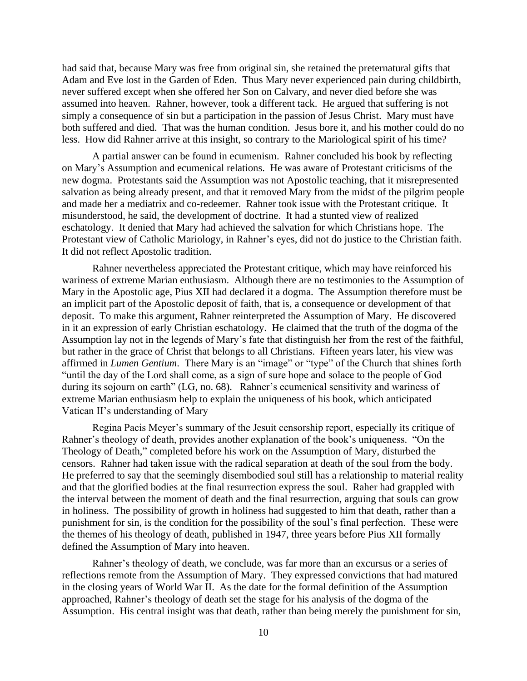had said that, because Mary was free from original sin, she retained the preternatural gifts that Adam and Eve lost in the Garden of Eden. Thus Mary never experienced pain during childbirth, never suffered except when she offered her Son on Calvary, and never died before she was assumed into heaven. Rahner, however, took a different tack. He argued that suffering is not simply a consequence of sin but a participation in the passion of Jesus Christ. Mary must have both suffered and died. That was the human condition. Jesus bore it, and his mother could do no less. How did Rahner arrive at this insight, so contrary to the Mariological spirit of his time?

A partial answer can be found in ecumenism. Rahner concluded his book by reflecting on Mary's Assumption and ecumenical relations. He was aware of Protestant criticisms of the new dogma. Protestants said the Assumption was not Apostolic teaching, that it misrepresented salvation as being already present, and that it removed Mary from the midst of the pilgrim people and made her a mediatrix and co-redeemer. Rahner took issue with the Protestant critique. It misunderstood, he said, the development of doctrine. It had a stunted view of realized eschatology. It denied that Mary had achieved the salvation for which Christians hope. The Protestant view of Catholic Mariology, in Rahner's eyes, did not do justice to the Christian faith. It did not reflect Apostolic tradition.

Rahner nevertheless appreciated the Protestant critique, which may have reinforced his wariness of extreme Marian enthusiasm. Although there are no testimonies to the Assumption of Mary in the Apostolic age, Pius XII had declared it a dogma. The Assumption therefore must be an implicit part of the Apostolic deposit of faith, that is, a consequence or development of that deposit. To make this argument, Rahner reinterpreted the Assumption of Mary. He discovered in it an expression of early Christian eschatology. He claimed that the truth of the dogma of the Assumption lay not in the legends of Mary's fate that distinguish her from the rest of the faithful, but rather in the grace of Christ that belongs to all Christians. Fifteen years later, his view was affirmed in *Lumen Gentium*. There Mary is an "image" or "type" of the Church that shines forth "until the day of the Lord shall come, as a sign of sure hope and solace to the people of God during its sojourn on earth" (LG, no. 68). Rahner's ecumenical sensitivity and wariness of extreme Marian enthusiasm help to explain the uniqueness of his book, which anticipated Vatican II's understanding of Mary

Regina Pacis Meyer's summary of the Jesuit censorship report, especially its critique of Rahner's theology of death, provides another explanation of the book's uniqueness. "On the Theology of Death," completed before his work on the Assumption of Mary, disturbed the censors. Rahner had taken issue with the radical separation at death of the soul from the body. He preferred to say that the seemingly disembodied soul still has a relationship to material reality and that the glorified bodies at the final resurrection express the soul. Raher had grappled with the interval between the moment of death and the final resurrection, arguing that souls can grow in holiness. The possibility of growth in holiness had suggested to him that death, rather than a punishment for sin, is the condition for the possibility of the soul's final perfection. These were the themes of his theology of death, published in 1947, three years before Pius XII formally defined the Assumption of Mary into heaven.

Rahner's theology of death, we conclude, was far more than an excursus or a series of reflections remote from the Assumption of Mary. They expressed convictions that had matured in the closing years of World War II. As the date for the formal definition of the Assumption approached, Rahner's theology of death set the stage for his analysis of the dogma of the Assumption. His central insight was that death, rather than being merely the punishment for sin,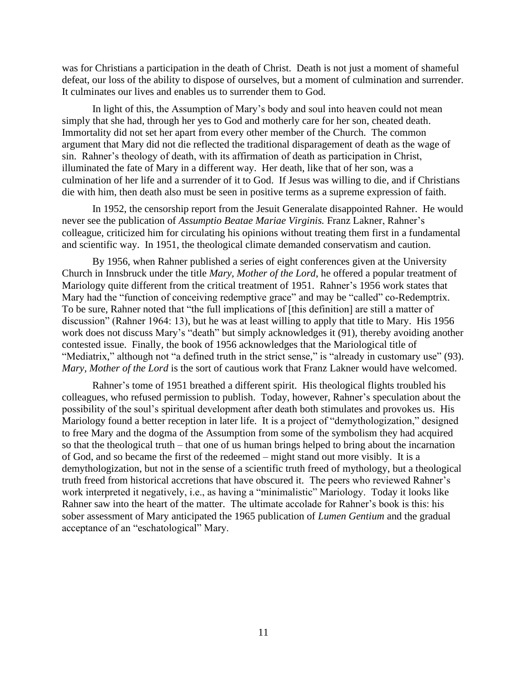was for Christians a participation in the death of Christ. Death is not just a moment of shameful defeat, our loss of the ability to dispose of ourselves, but a moment of culmination and surrender. It culminates our lives and enables us to surrender them to God.

In light of this, the Assumption of Mary's body and soul into heaven could not mean simply that she had, through her yes to God and motherly care for her son, cheated death. Immortality did not set her apart from every other member of the Church. The common argument that Mary did not die reflected the traditional disparagement of death as the wage of sin. Rahner's theology of death, with its affirmation of death as participation in Christ, illuminated the fate of Mary in a different way. Her death, like that of her son, was a culmination of her life and a surrender of it to God. If Jesus was willing to die, and if Christians die with him, then death also must be seen in positive terms as a supreme expression of faith.

In 1952, the censorship report from the Jesuit Generalate disappointed Rahner. He would never see the publication of *Assumptio Beatae Mariae Virginis.* Franz Lakner, Rahner's colleague, criticized him for circulating his opinions without treating them first in a fundamental and scientific way. In 1951, the theological climate demanded conservatism and caution.

By 1956, when Rahner published a series of eight conferences given at the University Church in Innsbruck under the title *Mary, Mother of the Lord*, he offered a popular treatment of Mariology quite different from the critical treatment of 1951. Rahner's 1956 work states that Mary had the "function of conceiving redemptive grace" and may be "called" co-Redemptrix. To be sure, Rahner noted that "the full implications of [this definition] are still a matter of discussion" (Rahner 1964: 13), but he was at least willing to apply that title to Mary. His 1956 work does not discuss Mary's "death" but simply acknowledges it (91), thereby avoiding another contested issue. Finally, the book of 1956 acknowledges that the Mariological title of "Mediatrix," although not "a defined truth in the strict sense," is "already in customary use" (93). *Mary, Mother of the Lord* is the sort of cautious work that Franz Lakner would have welcomed.

Rahner's tome of 1951 breathed a different spirit. His theological flights troubled his colleagues, who refused permission to publish. Today, however, Rahner's speculation about the possibility of the soul's spiritual development after death both stimulates and provokes us. His Mariology found a better reception in later life. It is a project of "demythologization," designed to free Mary and the dogma of the Assumption from some of the symbolism they had acquired so that the theological truth – that one of us human brings helped to bring about the incarnation of God, and so became the first of the redeemed – might stand out more visibly. It is a demythologization, but not in the sense of a scientific truth freed of mythology, but a theological truth freed from historical accretions that have obscured it. The peers who reviewed Rahner's work interpreted it negatively, i.e., as having a "minimalistic" Mariology. Today it looks like Rahner saw into the heart of the matter. The ultimate accolade for Rahner's book is this: his sober assessment of Mary anticipated the 1965 publication of *Lumen Gentium* and the gradual acceptance of an "eschatological" Mary.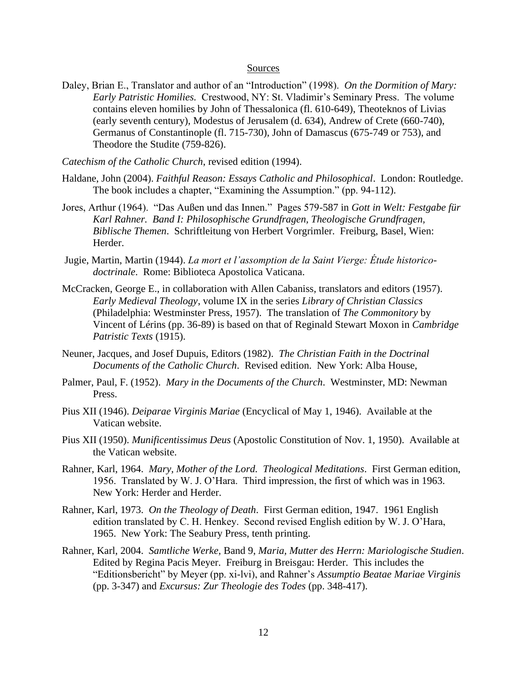# Sources

- Daley, Brian E., Translator and author of an "Introduction" (1998). *On the Dormition of Mary: Early Patristic Homilies.* Crestwood, NY: St. Vladimir's Seminary Press. The volume contains eleven homilies by John of Thessalonica (fl. 610-649), Theoteknos of Livias (early seventh century), Modestus of Jerusalem (d. 634), Andrew of Crete (660-740), Germanus of Constantinople (fl. 715-730), John of Damascus (675-749 or 753), and Theodore the Studite (759-826).
- *Catechism of the Catholic Church*, revised edition (1994).
- Haldane, John (2004). *Faithful Reason: Essays Catholic and Philosophical*. London: Routledge. The book includes a chapter, "Examining the Assumption." (pp. 94-112).
- Jores, Arthur (1964). "Das Außen und das Innen." Pages 579-587 in *Gott in Welt: Festgabe für Karl Rahner. Band I: Philosophische Grundfragen, Theologische Grundfragen, Biblische Themen*. Schriftleitung von Herbert Vorgrimler. Freiburg, Basel, Wien: Herder.
- Jugie, Martin, Martin (1944). *La mort et l'assomption de la Saint Vierge: Étude historicodoctrinale*. Rome: Biblioteca Apostolica Vaticana.
- McCracken, George E., in collaboration with Allen Cabaniss, translators and editors (1957). *Early Medieval Theology*, volume IX in the series *Library of Christian Classics* (Philadelphia: Westminster Press, 1957). The translation of *The Commonitory* by Vincent of Lérins (pp. 36-89) is based on that of Reginald Stewart Moxon in *Cambridge Patristic Texts* (1915).
- Neuner, Jacques, and Josef Dupuis, Editors (1982). *The Christian Faith in the Doctrinal Documents of the Catholic Church*. Revised edition. New York: Alba House,
- Palmer, Paul, F. (1952). *Mary in the Documents of the Church*. Westminster, MD: Newman Press.
- Pius XII (1946). *Deiparae Virginis Mariae* (Encyclical of May 1, 1946). Available at the Vatican website.
- Pius XII (1950). *Munificentissimus Deus* (Apostolic Constitution of Nov. 1, 1950). Available at the Vatican website.
- Rahner, Karl, 1964. *Mary, Mother of the Lord. Theological Meditations*. First German edition, 1956. Translated by W. J. O'Hara. Third impression, the first of which was in 1963. New York: Herder and Herder.
- Rahner, Karl, 1973. *On the Theology of Death*. First German edition, 1947. 1961 English edition translated by C. H. Henkey. Second revised English edition by W. J. O'Hara, 1965. New York: The Seabury Press, tenth printing.
- Rahner, Karl, 2004. *Samtliche Werke,* Band 9, *Maria, Mutter des Herrn: Mariologische Studien*. Edited by Regina Pacis Meyer. Freiburg in Breisgau: Herder. This includes the "Editionsbericht" by Meyer (pp. xi-lvi), and Rahner's *Assumptio Beatae Mariae Virginis* (pp. 3-347) and *Excursus: Zur Theologie des Todes* (pp. 348-417).